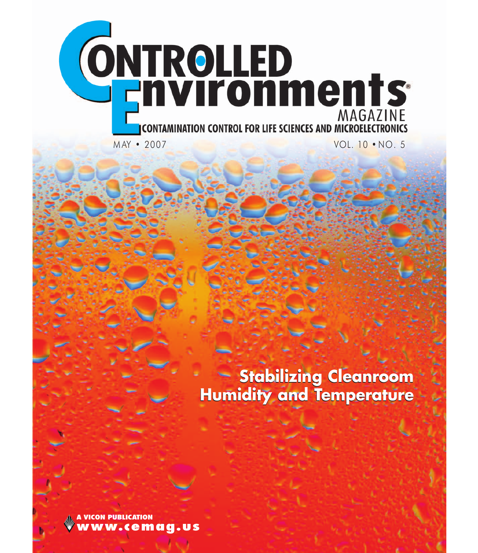

**Stabilizing Cleanroom Stabilizing Cleanroom Humidity and Temperature**

**A VICON PUBLICATION www.cemag.us**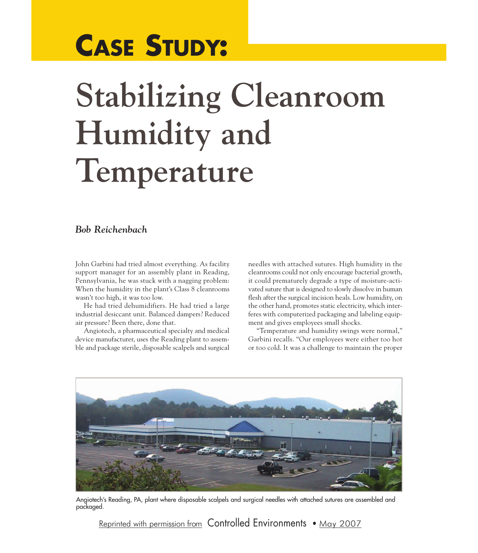## **CASE STUDY:**

## **Stabilizing Cleanroom Humidity and Temperature**

## *Bob Reichenbach*

John Garbini had tried almost everything. As facility support manager for an assembly plant in Reading, Pennsylvania, he was stuck with a nagging problem: When the humidity in the plant's Class 8 cleanrooms wasn't too high, it was too low.

He had tried dehumidifiers. He had tried a large industrial desiccant unit. Balanced dampers? Reduced air pressure? Been there, done that.

Angiotech, a pharmaceutical specialty and medical device manufacturer, uses the Reading plant to assemble and package sterile, disposable scalpels and surgical needles with attached sutures. High humidity in the cleanrooms could not only encourage bacterial growth, it could prematurely degrade a type of moisture-activated suture that is designed to slowly dissolve in human flesh after the surgical incision heals. Low humidity, on the other hand, promotes static electricity, which interferes with computerized packaging and labeling equipment and gives employees small shocks.

"Temperature and humidity swings were normal," Garbini recalls. "Our employees were either too hot or too cold. It was a challenge to maintain the proper



Angiotech's Reading, PA, plant where disposable scalpels and surgical needles with attached sutures are assembled and packaged.

Reprinted with permission from Controlled Environments • May 2007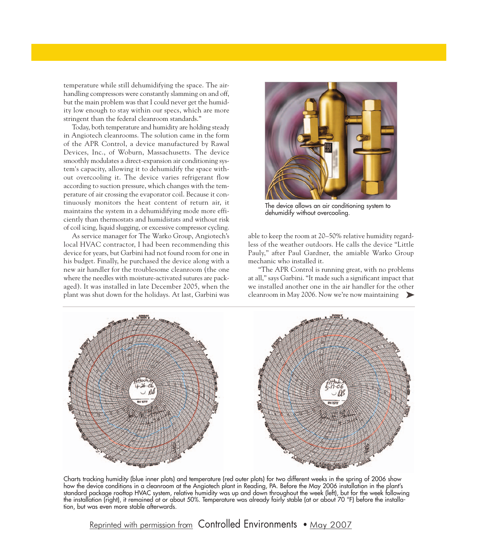temperature while still dehumidifying the space. The airhandling compressors were constantly slamming on and off, but the main problem was that I could never get the humidity low enough to stay within our specs, which are more stringent than the federal cleanroom standards."

Today, both temperature and humidity are holding steady in Angiotech cleanrooms. The solution came in the form of the APR Control, a device manufactured by Rawal Devices, Inc., of Woburn, Massachusetts. The device smoothly modulates a direct-expansion air conditioning system's capacity, allowing it to dehumidify the space without overcooling it. The device varies refrigerant flow according to suction pressure, which changes with the temperature of air crossing the evaporator coil. Because it continuously monitors the heat content of return air, it maintains the system in a dehumidifying mode more efficiently than thermostats and humidistats and without risk of coil icing, liquid slugging, or excessive compressor cycling.

As service manager for The Warko Group, Angiotech's local HVAC contractor, I had been recommending this device for years, but Garbini had not found room for one in his budget. Finally, he purchased the device along with a new air handler for the troublesome cleanroom (the one where the needles with moisture-activated sutures are packaged). It was installed in late December 2005, when the plant was shut down for the holidays. At last, Garbini was



The device allows an air conditioning system to dehumidify without overcooling.

able to keep the room at 20–50% relative humidity regardless of the weather outdoors. He calls the device "Little Pauly," after Paul Gardner, the amiable Warko Group mechanic who installed it.

"The APR Control is running great, with no problems at all," says Garbini. "It made such a significant impact that we installed another one in the air handler for the other cleanroom in May 2006. Now we're now maintaining  $\blacktriangleright$ 



Charts tracking humidity (blue inner plots) and temperature (red outer plots) for two different weeks in the spring of 2006 show how the device conditions in a cleanroom at the Angiotech plant in Reading, PA. Before the May 2006 installation in the plant's standard package rooftop HVAC system, relative humidity was up and down throughout the week (left), but for the week following the installation (right), it remained at or about 50%. Temperature was already fairly stable (at or about 70 °F) before the installation, but was even more stable afterwards.

Reprinted with permission from Controlled Environments • May 2007